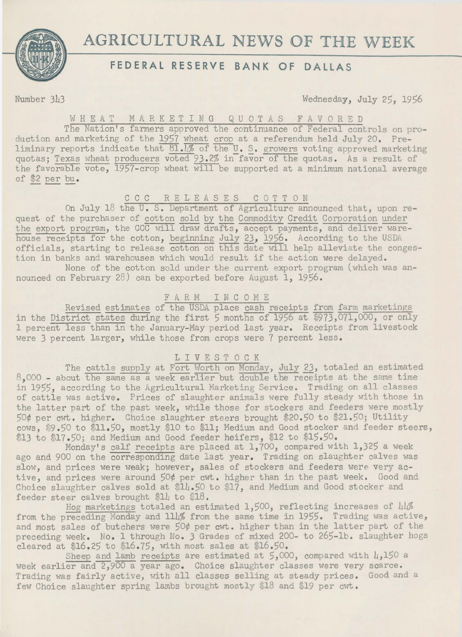

# **AGRICULTURAL NEWS OF THE WEEK**

# **FEDERAL RESERVE BANK OF DALLAS**

Number 343 Wednesday, July 25, 1956

### WHEAT MARKETING QUOTAS FAVORED

The Nation's farmers approved the continuance of Federal controls on production and marketing of the 1957 wheat crop at a referendum held July 20. Preliminary reports indicate that  $\underline{81.4\%}$  of the  $\underline{U}$ . S. growers voting approved marketing quotas; Texas wheat producers voted 93.2% in favor of the quotas. As a result of the favorable vote, 1957-crop wheat will be supported at a minimum national average of \$2 per bu.

#### CCC RELEASES COTT ON

On July 18 the U. S. Department of Agriculture announced that, upon request of the purchaser of cotton sold by the Commodity Credit Corporation under the export program, the CCC will draw drafts, accept payments, and deliver warehouse receipts for the cotton, beginning July 23, 1956. According to the USDA officials, starting to release cotton on this date will help alleviate the congestion in banks and warehouses which would result if the action were delayed. None of the cotton sold under the current export program (which was an-

nounced on February 28) can be exported before August 1, 19S6.

## FARM I N C 0 M E

Revised estimates of the USDA place cash receipts from farm marketings in the District states during the first 5 months of 1956 at \$973,071,000, or only 1 percent less than in the January-May period last year. Receipts from livestock were *3* percent larger, while those from crops were 7 percent less.

#### LIVESTOCK

The cattle supply at Fort Worth on Monday, July 23, totaled an estimated 8.000 - about the same as a week earlier but double the receipts at the same time in 1955, according to the Agricultural Marketing Service. Trading on all classes of cattle was active. Prices of slaughter animals were fully steady with those in the latter part of the past week, while those for stockers and feeders were mostly 50¢ per cwt. higher. Choice slaughter steers brought \$20.50 to \$21 .50; Utility cows, \$9.50 to \$11.50, mostly \$10 to \$11; Medium and Good stocker and feeder steers, \$13 to \$17.50; and Medium and Good feeder heifers, \$12 to \$15.50.

Monday's calf receipts are placed at 1,700, compared with 1,325 a week ago and 900 on the corresponding date last year. Trading on slaughter calves was slow, and prices were weak; however, sales of stockers and feeders were very active, and prices were around 50¢ per cwt. higher than in the past week. Good and Choice slaughter calves sold at \$14.50 to \$17, and Medium and Good stocker and feeder steer calves brought \$14 to \$18.

Hog marketings totaled an estimated 1,500, reflecting increases of 44% from the preceding Monday and 114% from the same time in 1955. Trading was active, and most sales of butchers were 50¢ per cwt. higher than in the latter part of the preceding week. No. 1 through No. 3 Grades of mixed 200- to 265-lb. slaughter hogs cleared at  $$16.25$  to  $$16.75$ , with most sales at  $$16.50$ .

Sheep and lamb receipts are estimated at  $5,000$ , compared with  $\mu$ ,150 a week earlier and 2,900 a year ago. Choice slaughter classes were very scarce. Trading was fairly active, with all classes selling at steady prices. Good and a few Choice slaughter spring lambs brought mostly \$18 and \$19 per cwt.